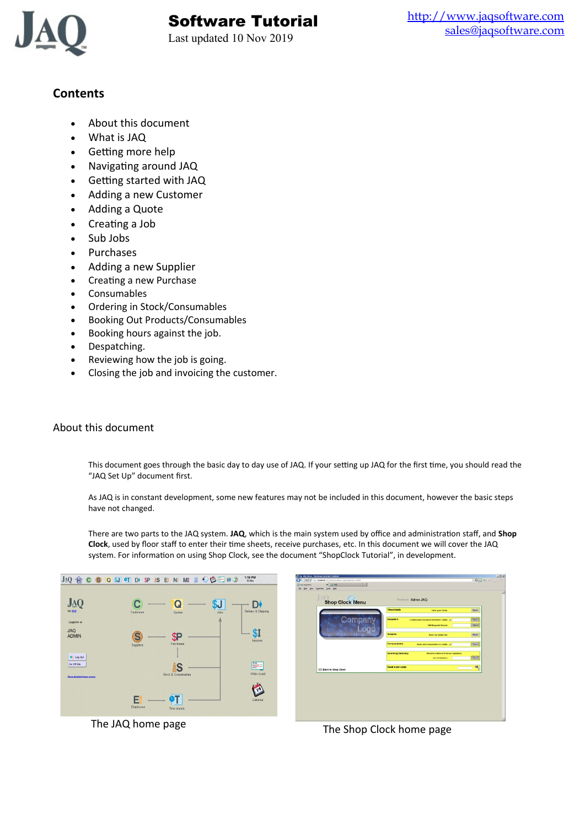

# Software Tutorial

Last updated 10 Nov 2019

# **Contents**

- About this document
- What is JAQ
- Getting more help
- Navigating around JAQ
- Getting started with JAQ
- Adding a new Customer
- Adding a Quote
- Creating a Job
- Sub Jobs
- Purchases
- Adding a new Supplier
- Creating a new Purchase
- Consumables
- Ordering in Stock/Consumables
- Booking Out Products/Consumables
- Booking hours against the job.
- Despatching.
- Reviewing how the job is going.
- Closing the job and invoicing the customer.

# About this document

This document goes through the basic day to day use of JAQ. If your setting up JAQ for the first time, you should read the "JAQ Set Up" document first.

As JAQ is in constant development, some new features may not be included in this document, however the basic steps have not changed.

There are two parts to the JAQ system. **JAQ**, which is the main system used by office and administration staff, and **Shop Clock**, used by floor staff to enter their time sheets, receive purchases, etc. In this document we will cover the JAQ system. For information on using Shop Clock, see the document "ShopClock Tutorial", in development.



| Year Payertex Dods tieb |                          |                                            |      |
|-------------------------|--------------------------|--------------------------------------------|------|
| Shop Clock Menu         |                          | <b>Employee Admin JAQ</b>                  |      |
|                         | <b>Timesheets</b>        | <b>Enterpour times.</b>                    | Next |
|                         | Despatch                 | Create a new Despatch Docket for JobNo: J. | Next |
|                         |                          | <b>Edit Despatch Docket</b>                | Next |
|                         | <b>Subjobs</b>           | Open my futuot list.                       | Next |
|                         | <b>Consumables</b>       | Scok out Consumables to Joblic: 3          | Next |
|                         | <b>Incoming Delivery</b> | Receive a delivery from our suppliers.     |      |
|                         |                          | <b>Our PO Number:</b>                      | Next |
| << Back to Shop Clock   | Read a bar code          |                                            | 哪    |
|                         |                          |                                            |      |

The JAQ home page The Shop Clock home page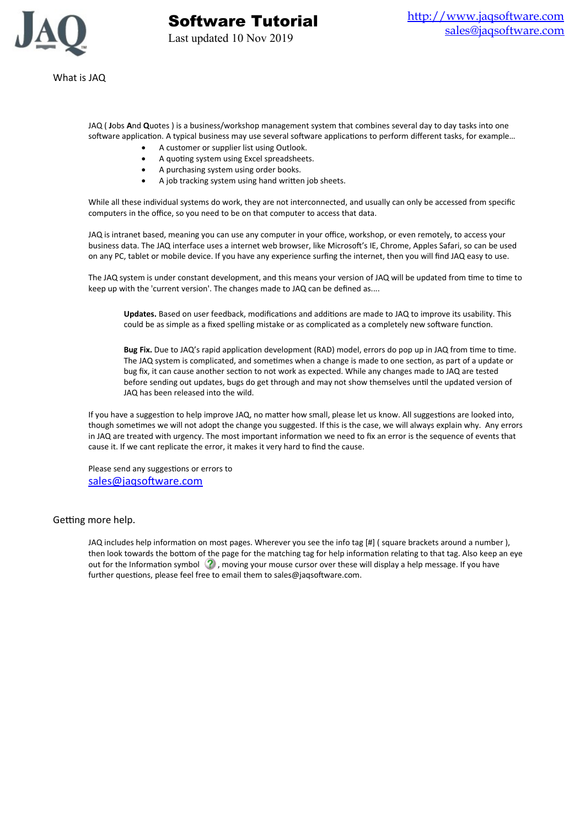

Last updated 10 Nov 2019

Software Tutorial

JAQ ( **J**obs **A**nd **Q**uotes ) is a business/workshop management system that combines several day to day tasks into one software application. A typical business may use several software applications to perform different tasks, for example…

- A customer or supplier list using Outlook.
- A quoting system using Excel spreadsheets.
- A purchasing system using order books.
- A job tracking system using hand written job sheets.

While all these individual systems do work, they are not interconnected, and usually can only be accessed from specific computers in the office, so you need to be on that computer to access that data.

JAQ is intranet based, meaning you can use any computer in your office, workshop, or even remotely, to access your business data. The JAQ interface uses a internet web browser, like Microsoft's IE, Chrome, Apples Safari, so can be used on any PC, tablet or mobile device. If you have any experience surfing the internet, then you will find JAQ easy to use.

The JAQ system is under constant development, and this means your version of JAQ will be updated from time to time to keep up with the 'current version'. The changes made to JAQ can be defined as....

**Updates.** Based on user feedback, modifications and additions are made to JAQ to improve its usability. This could be as simple as a fixed spelling mistake or as complicated as a completely new software function.

**Bug Fix.** Due to JAQ's rapid application development (RAD) model, errors do pop up in JAQ from time to time. The JAQ system is complicated, and sometimes when a change is made to one section, as part of a update or bug fix, it can cause another section to not work as expected. While any changes made to JAQ are tested before sending out updates, bugs do get through and may not show themselves until the updated version of JAQ has been released into the wild.

If you have a suggestion to help improve JAQ, no matter how small, please let us know. All suggestions are looked into, though sometimes we will not adopt the change you suggested. If this is the case, we will always explain why. Any errors in JAQ are treated with urgency. The most important information we need to fix an error is the sequence of events that cause it. If we cant replicate the error, it makes it very hard to find the cause.

Please send any suggestions or errors to [sales@jaqsoftware.com](mailto:sales@jaqsoftware.com)

## Getting more help.

JAQ includes help information on most pages. Wherever you see the info tag [#] ( square brackets around a number ), then look towards the bottom of the page for the matching tag for help information relating to that tag. Also keep an eye out for the Information symbol  $(2)$ , moving your mouse cursor over these will display a help message. If you have further questions, please feel free to email them to sales@jaqsoftware.com.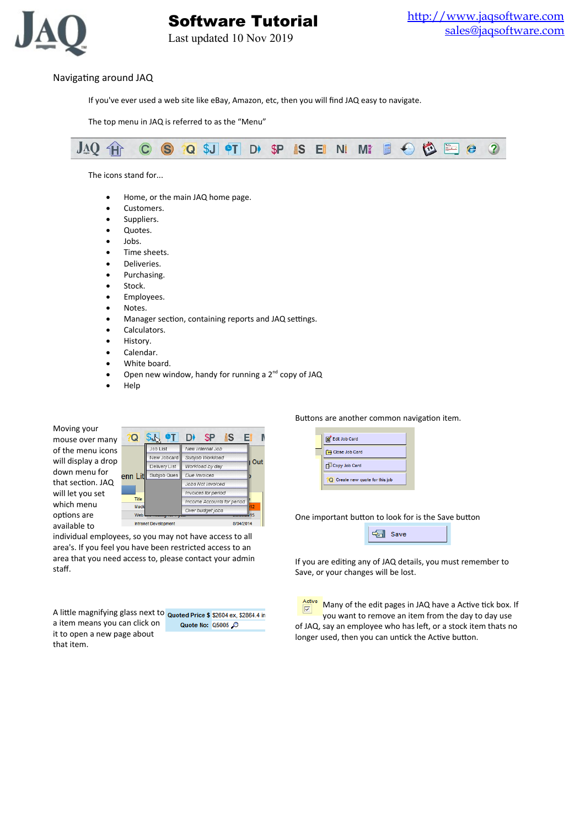

Last updated 10 Nov 2019

# Navigating around JAQ

If you've ever used a web site like eBay, Amazon, etc, then you will find JAQ easy to navigate.

The top menu in JAQ is referred to as the "Menu"



The icons stand for...

- Home, or the main JAQ home page.
- Customers.
- Suppliers.
- Quotes.
- Jobs.
- Time sheets.
- Deliveries.
- Purchasing.
- Stock.
- Employees.
- Notes.
- Manager section, containing reports and JAQ settings.
- Calculators.
- History.
- Calendar.
- White board.
- Open new window, handy for running a  $2^{nd}$  copy of JAQ
- Help

Moving your mouse over many of the menu icons will display a drop down menu for that section. JAQ will let you set which menu options are available to

| a            |                       | S                          |    |  |
|--------------|-----------------------|----------------------------|----|--|
|              | Job List              | New Internal Job           |    |  |
|              | New Jobcard           | Subjob Workload            |    |  |
|              | Delivery List         | Workload by day            |    |  |
| enn Lit      | Subjob Ques           | Due Invoices               |    |  |
|              |                       | Jobs Not Invoiced          |    |  |
|              |                       | Invoices for period        |    |  |
| <b>Title</b> |                       | Income Accounts for period |    |  |
| Mack         |                       | Over budget jobs           | 12 |  |
| Web          |                       |                            |    |  |
|              | Intropol Davislanmont | <b>DIDAPMA</b>             |    |  |

individual employees, so you may not have access to all area's. If you feel you have been restricted access to an area that you need access to, please contact your admin staff.

A little magnifying glass next to Quoted Price \$ \$2604 ex, \$2864.4 in a item means you can click on Quote No: Q5005 it to open a new page about that item.

# Buttons are another common navigation item.



One important button to look for is the Save button

**图** Save

If you are editing any of JAQ details, you must remember to Save, or your changes will be lost.



 $\frac{\text{Active}}{\boxed{\text{V}}}$ Many of the edit pages in JAQ have a Active tick box. If you want to remove an item from the day to day use of JAQ, say an employee who has left, or a stock item thats no longer used, then you can untick the Active button.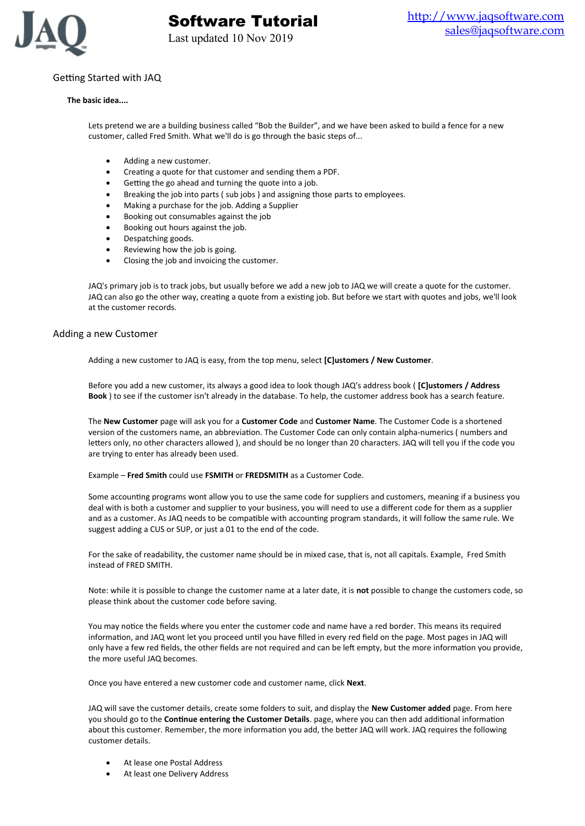

# Getting Started with JAQ

#### **The basic idea....**

Lets pretend we are a building business called "Bob the Builder", and we have been asked to build a fence for a new customer, called Fred Smith. What we'll do is go through the basic steps of...

- Adding a new customer.
- Creating a quote for that customer and sending them a PDF.
- Getting the go ahead and turning the quote into a job.
- Breaking the job into parts ( sub jobs ) and assigning those parts to employees.
- Making a purchase for the job. Adding a Supplier
- Booking out consumables against the job
- Booking out hours against the job.
- Despatching goods.
- Reviewing how the job is going.
- Closing the job and invoicing the customer.

JAQ's primary job is to track jobs, but usually before we add a new job to JAQ we will create a quote for the customer. JAQ can also go the other way, creating a quote from a existing job. But before we start with quotes and jobs, we'll look at the customer records.

#### Adding a new Customer

Adding a new customer to JAQ is easy, from the top menu, select **[C]ustomers / New Customer**.

Before you add a new customer, its always a good idea to look though JAQ's address book ( **[C]ustomers / Address Book** ) to see if the customer isn't already in the database. To help, the customer address book has a search feature.

The **New Customer** page will ask you for a **Customer Code** and **Customer Name**. The Customer Code is a shortened version of the customers name, an abbreviation. The Customer Code can only contain alpha-numerics ( numbers and letters only, no other characters allowed ), and should be no longer than 20 characters. JAQ will tell you if the code you are trying to enter has already been used.

Example – **Fred Smith** could use **FSMITH** or **FREDSMITH** as a Customer Code.

Some accounting programs wont allow you to use the same code for suppliers and customers, meaning if a business you deal with is both a customer and supplier to your business, you will need to use a different code for them as a supplier and as a customer. As JAQ needs to be compatible with accounting program standards, it will follow the same rule. We suggest adding a CUS or SUP, or just a 01 to the end of the code.

For the sake of readability, the customer name should be in mixed case, that is, not all capitals. Example, Fred Smith instead of FRED SMITH.

Note: while it is possible to change the customer name at a later date, it is **not** possible to change the customers code, so please think about the customer code before saving.

You may notice the fields where you enter the customer code and name have a red border. This means its required information, and JAQ wont let you proceed until you have filled in every red field on the page. Most pages in JAQ will only have a few red fields, the other fields are not required and can be left empty, but the more information you provide, the more useful JAQ becomes.

Once you have entered a new customer code and customer name, click **Next**.

JAQ will save the customer details, create some folders to suit, and display the **New Customer added** page. From here you should go to the **Continue entering the Customer Details**. page, where you can then add additional information about this customer. Remember, the more information you add, the better JAQ will work. JAQ requires the following customer details.

- At lease one Postal Address
- At least one Delivery Address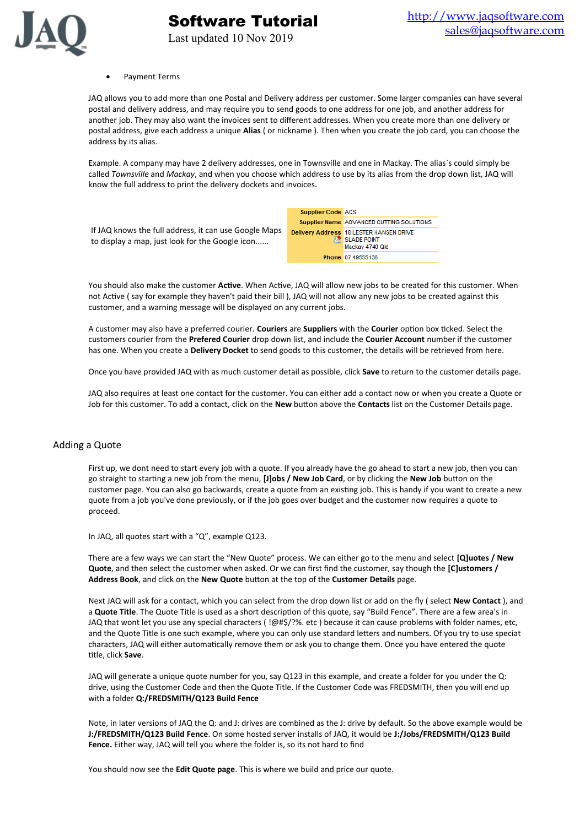

#### Payment Terms

JAQ allows you to add more than one Postal and Delivery address per customer. Some larger companies can have several postal and delivery address, and may require you to send goods to one address for one job, and another address for another job. They may also want the invoices sent to different addresses. When you create more than one delivery or postal address, give each address a unique **Alias** ( or nickname ). Then when you create the job card, you can choose the address by its alias.

Example. A company may have 2 delivery addresses, one in Townsville and one in Mackay. The alias`s could simply be called *Townsville* and *Mackay*, and when you choose which address to use by its alias from the drop down list, JAQ will know the full address to print the delivery dockets and invoices.

|                                                                                                          | <b>Supplier Code ACS</b> |                                                                                      |
|----------------------------------------------------------------------------------------------------------|--------------------------|--------------------------------------------------------------------------------------|
|                                                                                                          |                          | Supplier Name ADVANCED CUTTING SOLUTIONS                                             |
| If JAQ knows the full address, it can use Google Maps<br>to display a map, just look for the Google icon |                          | Delivery Address 18 LESTER HANSEN DRIVE<br><b>RAI SLADE POINT</b><br>Mackay 4740 Qld |
|                                                                                                          |                          | Phone 07 49555136                                                                    |

Software Tutorial

Last updated 10 Nov 2019

You should also make the customer **Active**. When Active, JAQ will allow new jobs to be created for this customer. When not Active ( say for example they haven't paid their bill ), JAQ will not allow any new jobs to be created against this customer, and a warning message will be displayed on any current jobs.

A customer may also have a preferred courier. **Couriers** are **Suppliers** with the **Courier** option box ticked. Select the customers courier from the **Prefered Courier** drop down list, and include the **Courier Account** number if the customer has one. When you create a **Delivery Docket** to send goods to this customer, the details will be retrieved from here.

Once you have provided JAQ with as much customer detail as possible, click **Save** to return to the customer details page.

JAQ also requires at least one contact for the customer. You can either add a contact now or when you create a Quote or Job for this customer. To add a contact, click on the **New** button above the **Contacts** list on the Customer Details page.

## Adding a Quote

First up, we dont need to start every job with a quote. If you already have the go ahead to start a new job, then you can go straight to starting a new job from the menu, **[J]obs / New Job Card**, or by clicking the **New Job** button on the customer page. You can also go backwards, create a quote from an existing job. This is handy if you want to create a new quote from a job you've done previously, or if the job goes over budget and the customer now requires a quote to proceed.

In JAQ, all quotes start with a "Q", example Q123.

There are a few ways we can start the "New Quote" process. We can either go to the menu and select **[Q]uotes / New Quote**, and then select the customer when asked. Or we can first find the customer, say though the **[C]ustomers / Address Book**, and click on the **New Quote** button at the top of the **Customer Details** page.

Next JAQ will ask for a contact, which you can select from the drop down list or add on the fly ( select **New Contact** ), and a **Quote Title**. The Quote Title is used as a short description of this quote, say "Build Fence". There are a few area's in JAQ that wont let you use any special characters ( !@#\$/?%. etc ) because it can cause problems with folder names, etc, and the Quote Title is one such example, where you can only use standard letters and numbers. Of you try to use speciat characters, JAQ will either automatically remove them or ask you to change them. Once you have entered the quote title, click **Save**.

JAQ will generate a unique quote number for you, say Q123 in this example, and create a folder for you under the Q: drive, using the Customer Code and then the Quote Title. If the Customer Code was FREDSMITH, then you will end up with a folder **Q:/FREDSMITH/Q123 Build Fence**

Note, in later versions of JAQ the Q: and J: drives are combined as the J: drive by default. So the above example would be **J:/FREDSMITH/Q123 Build Fence**. On some hosted server installs of JAQ, it would be **J:/Jobs/FREDSMITH/Q123 Build Fence.** Either way, JAQ will tell you where the folder is, so its not hard to find

You should now see the **Edit Quote page**. This is where we build and price our quote.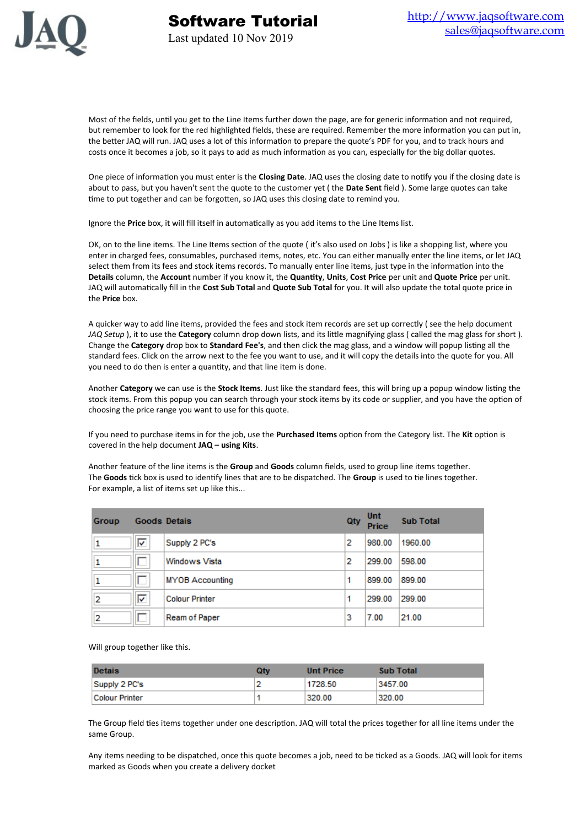

Most of the fields, until you get to the Line Items further down the page, are for generic information and not required, but remember to look for the red highlighted fields, these are required. Remember the more information you can put in, the better JAQ will run. JAQ uses a lot of this information to prepare the quote's PDF for you, and to track hours and costs once it becomes a job, so it pays to add as much information as you can, especially for the big dollar quotes.

One piece of information you must enter is the **Closing Date**. JAQ uses the closing date to notify you if the closing date is about to pass, but you haven't sent the quote to the customer yet ( the **Date Sent** field ). Some large quotes can take time to put together and can be forgotten, so JAQ uses this closing date to remind you.

Ignore the **Price** box, it will fill itself in automatically as you add items to the Line Items list.

OK, on to the line items. The Line Items section of the quote ( it's also used on Jobs ) is like a shopping list, where you enter in charged fees, consumables, purchased items, notes, etc. You can either manually enter the line items, or let JAQ select them from its fees and stock items records. To manually enter line items, just type in the information into the **Details** column, the **Account** number if you know it, the **Quantity**, **Units**, **Cost Price** per unit and **Quote Price** per unit. JAQ will automatically fill in the **Cost Sub Total** and **Quote Sub Total** for you. It will also update the total quote price in the **Price** box.

A quicker way to add line items, provided the fees and stock item records are set up correctly ( see the help document *JAQ Setup* ), it to use the **Category** column drop down lists, and its little magnifying glass ( called the mag glass for short ). Change the **Category** drop box to **Standard Fee's**, and then click the mag glass, and a window will popup listing all the standard fees. Click on the arrow next to the fee you want to use, and it will copy the details into the quote for you. All you need to do then is enter a quantity, and that line item is done.

Another **Category** we can use is the **Stock Items**. Just like the standard fees, this will bring up a popup window listing the stock items. From this popup you can search through your stock items by its code or supplier, and you have the option of choosing the price range you want to use for this quote.

If you need to purchase items in for the job, use the **Purchased Items** option from the Category list. The **Kit** option is covered in the help document **JAQ – using Kits**.

Another feature of the line items is the **Group** and **Goods** column fields, used to group line items together. The **Goods** tick box is used to identify lines that are to be dispatched. The **Group** is used to tie lines together. For example, a list of items set up like this...

| <b>Group</b> |   | <b>Goods Detais</b>    | Qty | Unt<br>Price | <b>Sub Total</b> |
|--------------|---|------------------------|-----|--------------|------------------|
|              | ⊽ | Supply 2 PC's          | 2   | 980.00       | 1960.00          |
|              |   | Windows Vista          | 2   | 299.00       | 598.00           |
|              |   | <b>MYOB Accounting</b> |     | 899.00       | 899.00           |
| 2            | ⊽ | <b>Colour Printer</b>  |     | 299.00       | 299.00           |
| 2            |   | Ream of Paper          | 3   | 7.00         | 21.00            |

Will group together like this.

| <b>Detais</b>  | <b>Qtv</b> | <b>Unt Price</b> | <b>Sub Total</b> |
|----------------|------------|------------------|------------------|
| Supply 2 PC's  |            | 1728.50          | 3457.00          |
| Colour Printer |            | 320.00           | 320.00           |

The Group field ties items together under one description. JAQ will total the prices together for all line items under the same Group.

Any items needing to be dispatched, once this quote becomes a job, need to be ticked as a Goods. JAQ will look for items marked as Goods when you create a delivery docket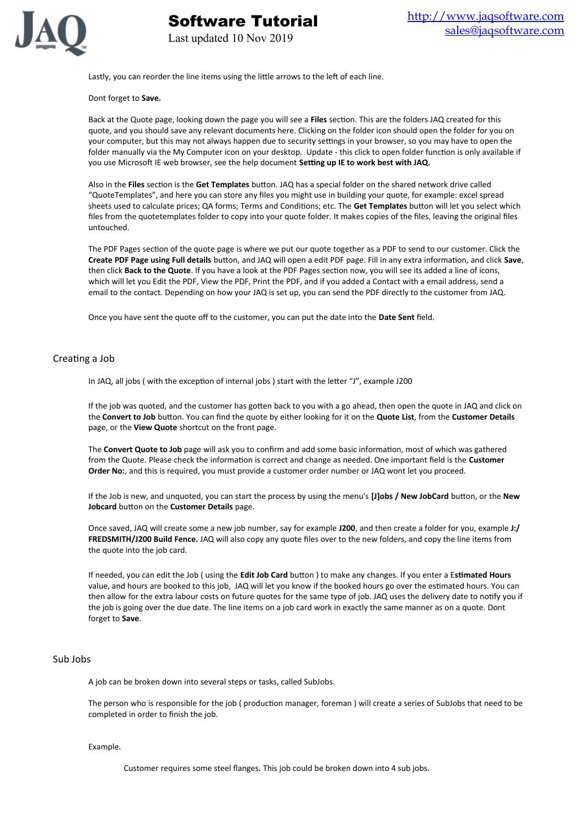

Lastly, you can reorder the line items using the little arrows to the left of each line.

Last updated 10 Nov 2019

Software Tutorial

#### Dont forget to **Save.**

Back at the Quote page, looking down the page you will see a **Files** section. This are the folders JAQ created for this quote, and you should save any relevant documents here. Clicking on the folder icon should open the folder for you on your computer, but this may not always happen due to security settings in your browser, so you may have to open the folder manually via the My Computer icon on your desktop. Update - this click to open folder function is only available if you use Microsoft IE web browser, see the help document **Setting up IE to work best with JAQ.**

Also in the **Files** section is the **Get Templates** button. JAQ has a special folder on the shared network drive called "QuoteTemplates", and here you can store any files you might use in building your quote, for example: excel spread sheets used to calculate prices; QA forms; Terms and Conditions; etc. The **Get Templates** button will let you select which files from the quotetemplates folder to copy into your quote folder. It makes copies of the files, leaving the original files untouched.

The PDF Pages section of the quote page is where we put our quote together as a PDF to send to our customer. Click the **Create PDF Page using Full details** button, and JAQ will open a edit PDF page. Fill in any extra information, and click **Save**, then click **Back to the Quote**. If you have a look at the PDF Pages section now, you will see its added a line of icons, which will let you Edit the PDF, View the PDF, Print the PDF, and if you added a Contact with a email address, send a email to the contact. Depending on how your JAQ is set up, you can send the PDF directly to the customer from JAQ.

Once you have sent the quote off to the customer, you can put the date into the **Date Sent** field.

## Creating a Job

In JAQ, all jobs ( with the exception of internal jobs ) start with the letter "J", example J200

If the job was quoted, and the customer has gotten back to you with a go ahead, then open the quote in JAQ and click on the **Convert to Job** button. You can find the quote by either looking for it on the **Quote List**, from the **Customer Details** page, or the **View Quote** shortcut on the front page.

The **Convert Quote to Job** page will ask you to confirm and add some basic information, most of which was gathered from the Quote. Please check the information is correct and change as needed. One important field is the **Customer Order No:**, and this is required, you must provide a customer order number or JAQ wont let you proceed.

If the Job is new, and unquoted, you can start the process by using the menu's **[J]obs / New JobCard** button, or the **New Jobcard** button on the **Customer Details** page.

Once saved, JAQ will create some a new job number, say for example **J200**, and then create a folder for you, example **J:/ FREDSMITH/J200 Build Fence.** JAQ will also copy any quote files over to the new folders, and copy the line items from the quote into the job card.

If needed, you can edit the Job ( using the **Edit Job Card** button ) to make any changes. If you enter a E**stimated Hours** value, and hours are booked to this job, JAQ will let you know if the booked hours go over the estimated hours. You can then allow for the extra labour costs on future quotes for the same type of job. JAQ uses the delivery date to notify you if the job is going over the due date. The line items on a job card work in exactly the same manner as on a quote. Dont forget to **Save**.

# Sub Jobs

A job can be broken down into several steps or tasks, called SubJobs.

The person who is responsible for the job ( production manager, foreman ) will create a series of SubJobs that need to be completed in order to finish the job.

#### Example.

Customer requires some steel flanges. This job could be broken down into 4 sub jobs.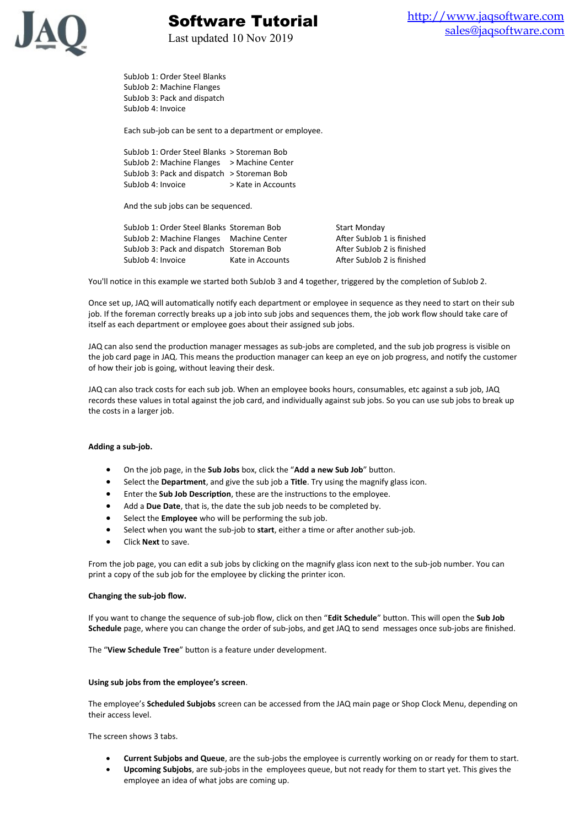

Last updated 10 Nov 2019

Software Tutorial

SubJob 1: Order Steel Blanks SubJob 2: Machine Flanges SubJob 3: Pack and dispatch SubJob 4: Invoice

Each sub-job can be sent to a department or employee.

SubJob 1: Order Steel Blanks > Storeman Bob SubJob 2: Machine Flanges > Machine Center SubJob 3: Pack and dispatch > Storeman Bob SubJob 4: Invoice > Kate in Accounts

And the sub jobs can be sequenced.

SubJob 1: Order Steel Blanks Storeman Bob Start Monday SubJob 2: Machine Flanges Machine Center **After SubJob 1** is finished SubJob 3: Pack and dispatch Storeman Bob After SubJob 2 is finished SubJob 4: Invoice Kate in Accounts After SubJob 2 is finished

You'll notice in this example we started both SubJob 3 and 4 together, triggered by the completion of SubJob 2.

Once set up, JAQ will automatically notify each department or employee in sequence as they need to start on their sub job. If the foreman correctly breaks up a job into sub jobs and sequences them, the job work flow should take care of itself as each department or employee goes about their assigned sub jobs.

JAQ can also send the production manager messages as sub-jobs are completed, and the sub job progress is visible on the job card page in JAQ. This means the production manager can keep an eye on job progress, and notify the customer of how their job is going, without leaving their desk.

JAQ can also track costs for each sub job. When an employee books hours, consumables, etc against a sub job, JAQ records these values in total against the job card, and individually against sub jobs. So you can use sub jobs to break up the costs in a larger job.

#### **Adding a sub-job.**

- On the job page, in the **Sub Jobs** box, click the "**Add a new Sub Job**" button.
- Select the **Department**, and give the sub job a **Title**. Try using the magnify glass icon.
- Enter the **Sub Job Description**, these are the instructions to the employee.
- Add a **Due Date**, that is, the date the sub job needs to be completed by.
- Select the **Employee** who will be performing the sub job.
- Select when you want the sub-job to **start**, either a time or after another sub-job.
- Click **Next** to save.

From the job page, you can edit a sub jobs by clicking on the magnify glass icon next to the sub-job number. You can print a copy of the sub job for the employee by clicking the printer icon.

#### **Changing the sub-job flow.**

If you want to change the sequence of sub-job flow, click on then "**Edit Schedule**" button. This will open the **Sub Job Schedule** page, where you can change the order of sub-jobs, and get JAQ to send messages once sub-jobs are finished.

The "**View Schedule Tree**" button is a feature under development.

#### **Using sub jobs from the employee's screen**.

The employee's **Scheduled Subjobs** screen can be accessed from the JAQ main page or Shop Clock Menu, depending on their access level.

The screen shows 3 tabs.

- **Current Subjobs and Queue**, are the sub-jobs the employee is currently working on or ready for them to start.
- **Upcoming Subjobs**, are sub-jobs in the employees queue, but not ready for them to start yet. This gives the employee an idea of what jobs are coming up.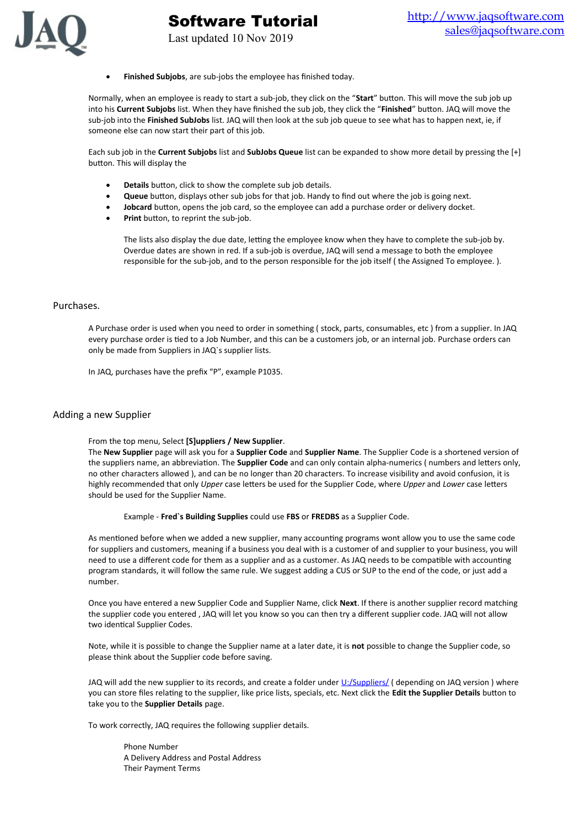

**Finished Subjobs**, are sub-jobs the employee has finished today.

Last updated 10 Nov 2019

Software Tutorial

Normally, when an employee is ready to start a sub-job, they click on the "**Start**" button. This will move the sub job up into his **Current Subjobs** list. When they have finished the sub job, they click the "**Finished**" button. JAQ will move the sub-job into the **Finished SubJobs** list. JAQ will then look at the sub job queue to see what has to happen next, ie, if someone else can now start their part of this job.

Each sub job in the **Current Subjobs** list and **SubJobs Queue** list can be expanded to show more detail by pressing the [+] button. This will display the

- **Details** button, click to show the complete sub job details.
- **Queue** button, displays other sub jobs for that job. Handy to find out where the job is going next.
- **Jobcard** button, opens the job card, so the employee can add a purchase order or delivery docket.
- **Print** button, to reprint the sub-job.

The lists also display the due date, letting the employee know when they have to complete the sub-job by. Overdue dates are shown in red. If a sub-job is overdue, JAQ will send a message to both the employee responsible for the sub-job, and to the person responsible for the job itself ( the Assigned To employee. ).

#### Purchases.

A Purchase order is used when you need to order in something ( stock, parts, consumables, etc ) from a supplier. In JAQ every purchase order is tied to a Job Number, and this can be a customers job, or an internal job. Purchase orders can only be made from Suppliers in JAQ`s supplier lists.

In JAQ, purchases have the prefix "P", example P1035.

#### Adding a new Supplier

From the top menu, Select **[S]uppliers / New Supplier**.

The **New Supplier** page will ask you for a **Supplier Code** and **Supplier Name**. The Supplier Code is a shortened version of the suppliers name, an abbreviation. The **Supplier Code** and can only contain alpha-numerics ( numbers and letters only, no other characters allowed ), and can be no longer than 20 characters. To increase visibility and avoid confusion, it is highly recommended that only *Upper* case letters be used for the Supplier Code, where *Upper* and *Lower* case letters should be used for the Supplier Name.

Example - **Fred`s Building Supplies** could use **FBS** or **FREDBS** as a Supplier Code.

As mentioned before when we added a new supplier, many accounting programs wont allow you to use the same code for suppliers and customers, meaning if a business you deal with is a customer of and supplier to your business, you will need to use a different code for them as a supplier and as a customer. As JAQ needs to be compatible with accounting program standards, it will follow the same rule. We suggest adding a CUS or SUP to the end of the code, or just add a number.

Once you have entered a new Supplier Code and Supplier Name, click **Next**. If there is another supplier record matching the supplier code you entered , JAQ will let you know so you can then try a different supplier code. JAQ will not allow two identical Supplier Codes.

Note, while it is possible to change the Supplier name at a later date, it is **not** possible to change the Supplier code, so please think about the Supplier code before saving.

JAQ will add the new supplier to its records, and create a folder under *U:/Suppliers/* (depending on JAQ version) where you can store files relating to the supplier, like price lists, specials, etc. Next click the **Edit the Supplier Details** button to take you to the **Supplier Details** page.

To work correctly, JAQ requires the following supplier details.

Phone Number A Delivery Address and Postal Address Their Payment Terms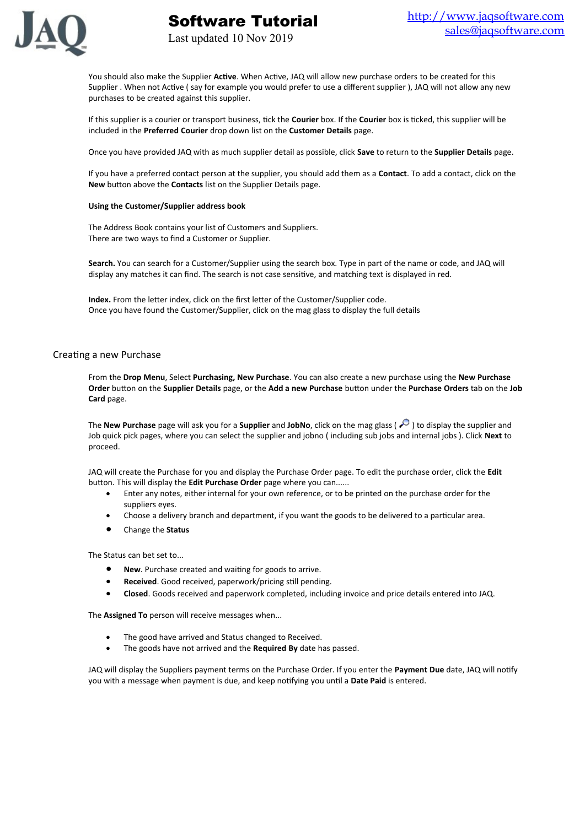

You should also make the Supplier **Active**. When Active, JAQ will allow new purchase orders to be created for this Supplier . When not Active ( say for example you would prefer to use a different supplier ), JAQ will not allow any new purchases to be created against this supplier.

If this supplier is a courier or transport business, tick the **Courier** box. If the **Courier** box is ticked, this supplier will be included in the **Preferred Courier** drop down list on the **Customer Details** page.

Once you have provided JAQ with as much supplier detail as possible, click **Save** to return to the **Supplier Details** page.

If you have a preferred contact person at the supplier, you should add them as a **Contact**. To add a contact, click on the **New** button above the **Contacts** list on the Supplier Details page.

#### **Using the Customer/Supplier address book**

The Address Book contains your list of Customers and Suppliers. There are two ways to find a Customer or Supplier.

**Search.** You can search for a Customer/Supplier using the search box. Type in part of the name or code, and JAQ will display any matches it can find. The search is not case sensitive, and matching text is displayed in red.

**Index.** From the letter index, click on the first letter of the Customer/Supplier code. Once you have found the Customer/Supplier, click on the mag glass to display the full details

Software Tutorial

Last updated 10 Nov 2019

#### Creating a new Purchase

From the **Drop Menu**, Select **Purchasing, New Purchase**. You can also create a new purchase using the **New Purchase Order** button on the **Supplier Details** page, or the **Add a new Purchase** button under the **Purchase Orders** tab on the **Job Card** page.

The **New Purchase** page will ask you for a **Supplier** and **JobNo**, click on the mag glass ( $\bullet$ ) to display the supplier and Job quick pick pages, where you can select the supplier and jobno ( including sub jobs and internal jobs ). Click **Next** to proceed.

JAQ will create the Purchase for you and display the Purchase Order page. To edit the purchase order, click the **Edit** button. This will display the **Edit Purchase Order** page where you can......

- Enter any notes, either internal for your own reference, or to be printed on the purchase order for the suppliers eyes.
- Choose a delivery branch and department, if you want the goods to be delivered to a particular area.
- Change the **Status**

The Status can bet set to...

- **New**. Purchase created and waiting for goods to arrive.
- **Received**. Good received, paperwork/pricing still pending.
- **Closed**. Goods received and paperwork completed, including invoice and price details entered into JAQ.

The **Assigned To** person will receive messages when...

- The good have arrived and Status changed to Received.
- The goods have not arrived and the **Required By** date has passed.

JAQ will display the Suppliers payment terms on the Purchase Order. If you enter the **Payment Due** date, JAQ will notify you with a message when payment is due, and keep notifying you until a **Date Paid** is entered.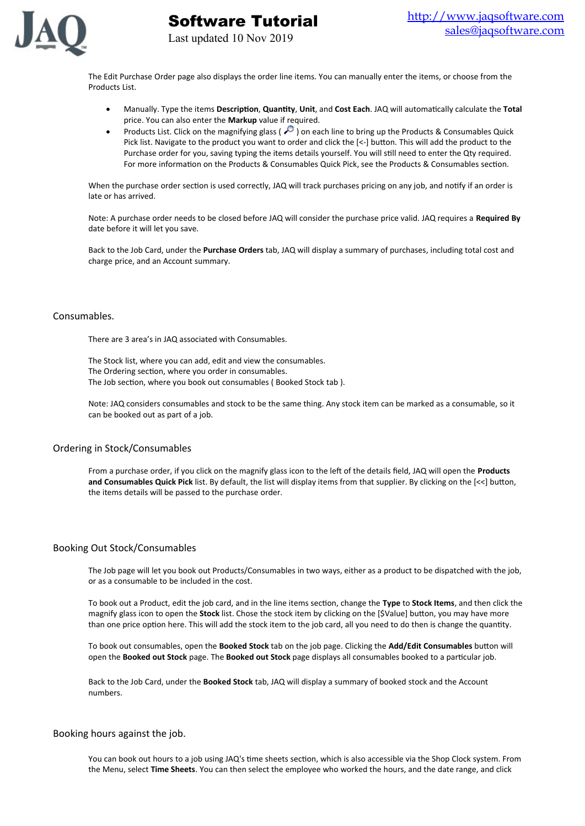

The Edit Purchase Order page also displays the order line items. You can manually enter the items, or choose from the Products List.

Software Tutorial

Last updated 10 Nov 2019

- Manually. Type the items **Description**, **Quantity**, **Unit**, and **Cost Each**. JAQ will automatically calculate the **Total** price. You can also enter the **Markup** value if required.
- Products List. Click on the magnifying glass ( $\degree$ ) on each line to bring up the Products & Consumables Quick Pick list. Navigate to the product you want to order and click the [<-] button. This will add the product to the Purchase order for you, saving typing the items details yourself. You will still need to enter the Qty required. For more information on the Products & Consumables Quick Pick, see the Products & Consumables section.

When the purchase order section is used correctly, JAQ will track purchases pricing on any job, and notify if an order is late or has arrived.

Note: A purchase order needs to be closed before JAQ will consider the purchase price valid. JAQ requires a **Required By** date before it will let you save.

Back to the Job Card, under the **Purchase Orders** tab, JAQ will display a summary of purchases, including total cost and charge price, and an Account summary.

#### Consumables.

There are 3 area's in JAQ associated with Consumables.

The Stock list, where you can add, edit and view the consumables. The Ordering section, where you order in consumables. The Job section, where you book out consumables ( Booked Stock tab ).

Note: JAQ considers consumables and stock to be the same thing. Any stock item can be marked as a consumable, so it can be booked out as part of a job.

#### Ordering in Stock/Consumables

From a purchase order, if you click on the magnify glass icon to the left of the details field, JAQ will open the **Products and Consumables Quick Pick** list. By default, the list will display items from that supplier. By clicking on the [<<] button, the items details will be passed to the purchase order.

#### Booking Out Stock/Consumables

The Job page will let you book out Products/Consumables in two ways, either as a product to be dispatched with the job, or as a consumable to be included in the cost.

To book out a Product, edit the job card, and in the line items section, change the **Type** to **Stock Items**, and then click the magnify glass icon to open the **Stock** list. Chose the stock item by clicking on the [\$Value] button, you may have more than one price option here. This will add the stock item to the job card, all you need to do then is change the quantity.

To book out consumables, open the **Booked Stock** tab on the job page. Clicking the **Add/Edit Consumables** button will open the **Booked out Stock** page. The **Booked out Stock** page displays all consumables booked to a particular job.

Back to the Job Card, under the **Booked Stock** tab, JAQ will display a summary of booked stock and the Account numbers.

## Booking hours against the job.

You can book out hours to a job using JAQ's time sheets section, which is also accessible via the Shop Clock system. From the Menu, select **Time Sheets**. You can then select the employee who worked the hours, and the date range, and click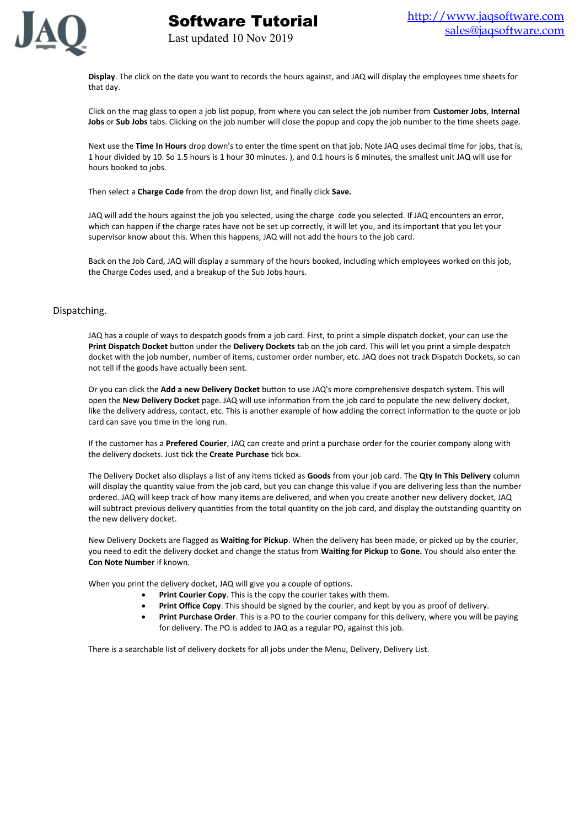

**Display**. The click on the date you want to records the hours against, and JAQ will display the employees time sheets for that day.

Click on the mag glass to open a job list popup, from where you can select the job number from **Customer Jobs**, **Internal Jobs** or **Sub Jobs** tabs. Clicking on the job number will close the popup and copy the job number to the time sheets page.

Next use the **Time In Hours** drop down's to enter the time spent on that job. Note JAQ uses decimal time for jobs, that is, 1 hour divided by 10. So 1.5 hours is 1 hour 30 minutes. ), and 0.1 hours is 6 minutes, the smallest unit JAQ will use for hours booked to jobs.

Then select a **Charge Code** from the drop down list, and finally click **Save.**

Software Tutorial

Last updated 10 Nov 2019

JAQ will add the hours against the job you selected, using the charge code you selected. If JAQ encounters an error, which can happen if the charge rates have not be set up correctly, it will let you, and its important that you let your supervisor know about this. When this happens, JAQ will not add the hours to the job card.

Back on the Job Card, JAQ will display a summary of the hours booked, including which employees worked on this job, the Charge Codes used, and a breakup of the Sub Jobs hours.

# Dispatching.

JAQ has a couple of ways to despatch goods from a job card. First, to print a simple dispatch docket, your can use the **Print Dispatch Docket** button under the **Delivery Dockets** tab on the job card. This will let you print a simple despatch docket with the job number, number of items, customer order number, etc. JAQ does not track Dispatch Dockets, so can not tell if the goods have actually been sent.

Or you can click the **Add a new Delivery Docket** button to use JAQ's more comprehensive despatch system. This will open the **New Delivery Docket** page. JAQ will use information from the job card to populate the new delivery docket, like the delivery address, contact, etc. This is another example of how adding the correct information to the quote or job card can save you time in the long run.

If the customer has a **Prefered Courier**, JAQ can create and print a purchase order for the courier company along with the delivery dockets. Just tick the **Create Purchase** tick box.

The Delivery Docket also displays a list of any items ticked as **Goods** from your job card. The **Qty In This Delivery** column will display the quantity value from the job card, but you can change this value if you are delivering less than the number ordered. JAQ will keep track of how many items are delivered, and when you create another new delivery docket, JAQ will subtract previous delivery quantities from the total quantity on the job card, and display the outstanding quantity on the new delivery docket.

New Delivery Dockets are flagged as **Waiting for Pickup**. When the delivery has been made, or picked up by the courier, you need to edit the delivery docket and change the status from **Waiting for Pickup** to **Gone.** You should also enter the **Con Note Number** if known.

When you print the delivery docket, JAQ will give you a couple of options.

- **•** Print Courier Copy. This is the copy the courier takes with them.
- **Print Office Copy**. This should be signed by the courier, and kept by you as proof of delivery.
- **Print Purchase Order**. This is a PO to the courier company for this delivery, where you will be paying for delivery. The PO is added to JAQ as a regular PO, against this job.

There is a searchable list of delivery dockets for all jobs under the Menu, Delivery, Delivery List.